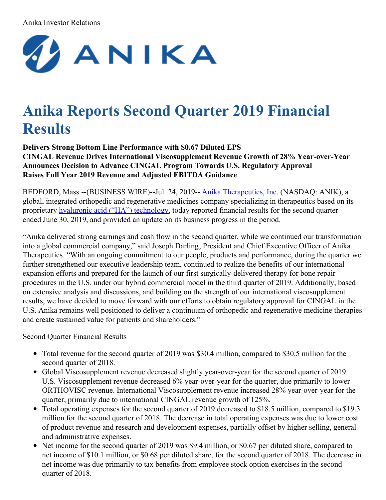## Anika Investor Relations



# **Anika Reports Second Quarter 2019 Financial Results**

**Delivers Strong Bottom Line Performance with \$0.67 Diluted EPS**

**CINGAL Revenue Drives International Viscosupplement Revenue Growth of 28% Year-over-Year Announces Decision to Advance CINGAL Program Towards U.S. Regulatory Approval Raises Full Year 2019 Revenue and Adjusted EBITDA Guidance**

BEDFORD, Mass.--(BUSINESS WIRE)--Jul. 24, 2019-- Anika [Therapeutics,](https://cts.businesswire.com/ct/CT?id=smartlink&url=https%3A%2F%2Fwww.anikatherapeutics.com%2F&esheet=52017982&newsitemid=20190724005750&lan=en-US&anchor=Anika+Therapeutics%2C+Inc.&index=1&md5=ac17e9ffeec3b9aca8002d06f3519a31) Inc. (NASDAQ: ANIK), a global, integrated orthopedic and regenerative medicines company specializing in therapeutics based on its proprietary hyaluronic acid ("HA") [technology](https://cts.businesswire.com/ct/CT?id=smartlink&url=https%3A%2F%2Fwww.anikatherapeutics.com%2Ftechnology%2Fha-biology%2F&esheet=52017982&newsitemid=20190724005750&lan=en-US&anchor=hyaluronic+acid+%28%26%238220%3BHA%26%238221%3B%29+technology&index=2&md5=ec02be91d5c534b44e82f7488c69fe1e), today reported financial results for the second quarter ended June 30, 2019, and provided an update on its business progress in the period.

"Anika delivered strong earnings and cash flow in the second quarter, while we continued our transformation into a global commercial company," said Joseph Darling, President and Chief Executive Officer of Anika Therapeutics. "With an ongoing commitment to our people, products and performance, during the quarter we further strengthened our executive leadership team, continued to realize the benefits of our international expansion efforts and prepared for the launch of our first surgically-delivered therapy for bone repair procedures in the U.S. under our hybrid commercial model in the third quarter of 2019. Additionally, based on extensive analysis and discussions, and building on the strength of our international viscosupplement results, we have decided to move forward with our efforts to obtain regulatory approval for CINGAL in the U.S. Anika remains well positioned to deliver a continuum of orthopedic and regenerative medicine therapies and create sustained value for patients and shareholders."

Second Quarter Financial Results

- Total revenue for the second quarter of 2019 was \$30.4 million, compared to \$30.5 million for the second quarter of 2018.
- Global Viscosupplement revenue decreased slightly year-over-year for the second quarter of 2019. U.S. Viscosupplement revenue decreased 6% year-over-year for the quarter, due primarily to lower ORTHOVISC revenue. International Viscosupplement revenue increased 28% year-over-year for the quarter, primarily due to international CINGAL revenue growth of 125%.
- Total operating expenses for the second quarter of 2019 decreased to \$18.5 million, compared to \$19.3 million for the second quarter of 2018. The decrease in total operating expenses was due to lower cost of product revenue and research and development expenses, partially offset by higher selling, general and administrative expenses.
- Net income for the second quarter of 2019 was \$9.4 million, or \$0.67 per diluted share, compared to net income of \$10.1 million, or \$0.68 per diluted share, for the second quarter of 2018. The decrease in net income was due primarily to tax benefits from employee stock option exercises in the second quarter of 2018.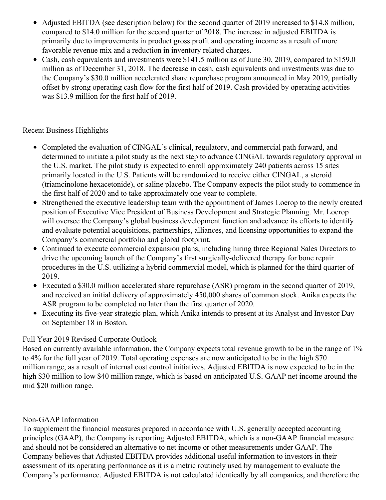- Adjusted EBITDA (see description below) for the second quarter of 2019 increased to \$14.8 million, compared to \$14.0 million for the second quarter of 2018. The increase in adjusted EBITDA is primarily due to improvements in product gross profit and operating income as a result of more favorable revenue mix and a reduction in inventory related charges.
- Cash, cash equivalents and investments were \$141.5 million as of June 30, 2019, compared to \$159.0 million as of December 31, 2018. The decrease in cash, cash equivalents and investments was due to the Company's \$30.0 million accelerated share repurchase program announced in May 2019, partially offset by strong operating cash flow for the first half of 2019. Cash provided by operating activities was \$13.9 million for the first half of 2019.

## Recent Business Highlights

- Completed the evaluation of CINGAL's clinical, regulatory, and commercial path forward, and determined to initiate a pilot study as the next step to advance CINGAL towards regulatory approval in the U.S. market. The pilot study is expected to enroll approximately 240 patients across 15 sites primarily located in the U.S. Patients will be randomized to receive either CINGAL, a steroid (triamcinolone hexacetonide), or saline placebo. The Company expects the pilot study to commence in the first half of 2020 and to take approximately one year to complete.
- Strengthened the executive leadership team with the appointment of James Loerop to the newly created position of Executive Vice President of Business Development and Strategic Planning. Mr. Loerop will oversee the Company's global business development function and advance its efforts to identify and evaluate potential acquisitions, partnerships, alliances, and licensing opportunities to expand the Company's commercial portfolio and global footprint.
- Continued to execute commercial expansion plans, including hiring three Regional Sales Directors to drive the upcoming launch of the Company's first surgically-delivered therapy for bone repair procedures in the U.S. utilizing a hybrid commercial model, which is planned for the third quarter of 2019.
- Executed a \$30.0 million accelerated share repurchase (ASR) program in the second quarter of 2019, and received an initial delivery of approximately 450,000 shares of common stock. Anika expects the ASR program to be completed no later than the first quarter of 2020.
- Executing its five-year strategic plan, which Anika intends to present at its Analyst and Investor Day on September 18 in Boston.

# Full Year 2019 Revised Corporate Outlook

Based on currently available information, the Company expects total revenue growth to be in the range of 1% to 4% for the full year of 2019. Total operating expenses are now anticipated to be in the high \$70 million range, as a result of internal cost control initiatives. Adjusted EBITDA is now expected to be in the high \$30 million to low \$40 million range, which is based on anticipated U.S. GAAP net income around the mid \$20 million range.

# Non-GAAP Information

To supplement the financial measures prepared in accordance with U.S. generally accepted accounting principles (GAAP), the Company is reporting Adjusted EBITDA, which is a non-GAAP financial measure and should not be considered an alternative to net income or other measurements under GAAP. The Company believes that Adjusted EBITDA provides additional useful information to investors in their assessment of its operating performance as it is a metric routinely used by management to evaluate the Company's performance. Adjusted EBITDA is not calculated identically by all companies, and therefore the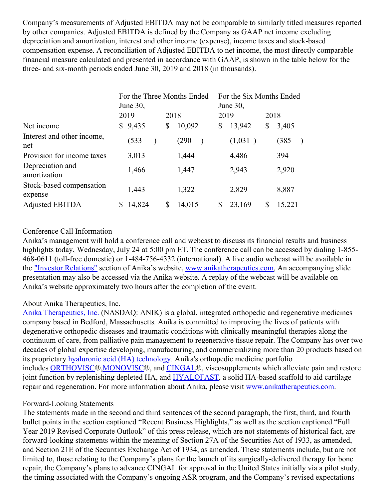Company's measurements of Adjusted EBITDA may not be comparable to similarly titled measures reported by other companies. Adjusted EBITDA is defined by the Company as GAAP net income excluding depreciation and amortization, interest and other income (expense), income taxes and stock-based compensation expense. A reconciliation of Adjusted EBITDA to net income, the most directly comparable financial measure calculated and presented in accordance with GAAP, is shown in the table below for the three- and six-month periods ended June 30, 2019 and 2018 (in thousands).

|                                     | For the Three Months Ended<br>June $30$ , |         |  |      | For the Six Months Ended<br>June $30$ , |      |         |      |        |
|-------------------------------------|-------------------------------------------|---------|--|------|-----------------------------------------|------|---------|------|--------|
|                                     |                                           | 2019    |  | 2018 |                                         | 2019 |         | 2018 |        |
| Net income                          |                                           | \$9,435 |  | \$   | 10,092                                  | \$   | 13,942  | \$   | 3,405  |
| Interest and other income,<br>net   |                                           | (533)   |  |      | (290)                                   |      | (1,031) |      | (385   |
| Provision for income taxes          |                                           | 3,013   |  |      | 1,444                                   |      | 4,486   |      | 394    |
| Depreciation and<br>amortization    |                                           | 1,466   |  |      | 1,447                                   |      | 2,943   |      | 2,920  |
| Stock-based compensation<br>expense |                                           | 1,443   |  |      | 1,322                                   |      | 2,829   |      | 8,887  |
| <b>Adjusted EBITDA</b>              |                                           | 14,824  |  | \$   | 14,015                                  | \$   | 23,169  | S    | 15,221 |

## Conference Call Information

Anika's management will hold a conference call and webcast to discuss its financial results and business highlights today, Wednesday, July 24 at 5:00 pm ET. The conference call can be accessed by dialing 1-855-468-0611 (toll-free domestic) or 1-484-756-4332 (international). A live audio webcast will be available in the "Investor [Relations"](https://cts.businesswire.com/ct/CT?id=smartlink&url=https%3A%2F%2Fir.anikatherapeutics.com%2Fevents.cfm&esheet=52017982&newsitemid=20190724005750&lan=en-US&anchor=%26quot%3BInvestor+Relations%26quot%3B&index=3&md5=d630004bd5258fe4ed0c0704ed1942c6) section of Anika's website, [www.anikatherapeutics.com](https://cts.businesswire.com/ct/CT?id=smartlink&url=http%3A%2F%2Fwww.anikatherapeutics.com&esheet=52017982&newsitemid=20190724005750&lan=en-US&anchor=www.anikatherapeutics.com&index=4&md5=49a6a5e00ca561f2cc6ad03ce57ca548), An accompanying slide presentation may also be accessed via the Anika website. A replay of the webcast will be available on Anika's website approximately two hours after the completion of the event.

## About Anika Therapeutics, Inc.

Anika [Therapeutics,](https://cts.businesswire.com/ct/CT?id=smartlink&url=https%3A%2F%2Fwww.anikatherapeutics.com%2F&esheet=52017982&newsitemid=20190724005750&lan=en-US&anchor=Anika+Therapeutics%2C+Inc.&index=5&md5=3ce88b6fe0f573aadf8eb47ca0c88672) Inc. (NASDAQ: ANIK) is a global, integrated orthopedic and regenerative medicines company based in Bedford, Massachusetts. Anika is committed to improving the lives of patients with degenerative orthopedic diseases and traumatic conditions with clinically meaningful therapies along the continuum of care, from palliative pain management to regenerative tissue repair. The Company has over two decades of global expertise developing, manufacturing, and commercializing more than 20 products based on its proprietary hyaluronic acid (HA) [technology](https://cts.businesswire.com/ct/CT?id=smartlink&url=https%3A%2F%2Fwww.anikatherapeutics.com%2Ftechnology%2Fha-biology%2F&esheet=52017982&newsitemid=20190724005750&lan=en-US&anchor=hyaluronic+acid+%28HA%29+technology&index=6&md5=4330547bc7f2d92731536687faa65aae). Anika's orthopedic medicine portfolio includes [ORTHOVISC](https://cts.businesswire.com/ct/CT?id=smartlink&url=https%3A%2F%2Fwww.anikatherapeutics.com%2Fproducts%2Forthobiologics%2Forthovisc%2F&esheet=52017982&newsitemid=20190724005750&lan=en-US&anchor=ORTHOVISC&index=7&md5=885888dc3615d54371e1ff8f21e32857)®,[MONOVISC](https://cts.businesswire.com/ct/CT?id=smartlink&url=https%3A%2F%2Fwww.anikatherapeutics.com%2Fproducts%2Forthobiologics%2Fmonovisc%2F&esheet=52017982&newsitemid=20190724005750&lan=en-US&anchor=MONOVISC&index=8&md5=78c9f12b1c9a7519871a393387773f09)®, and [CINGAL](https://cts.businesswire.com/ct/CT?id=smartlink&url=https%3A%2F%2Fwww.anikatherapeutics.com%2Fproducts%2Forthobiologics%2Fcingal%2F&esheet=52017982&newsitemid=20190724005750&lan=en-US&anchor=CINGAL&index=9&md5=b47d1ae6cfe9438c89881420f9d94b30)®, viscosupplements which alleviate pain and restore joint function by replenishing depleted HA, and **[HYALOFAST](https://cts.businesswire.com/ct/CT?id=smartlink&url=http%3A%2F%2Fhyalofast.anikatherapeutics.com%2Fen%2F&esheet=52017982&newsitemid=20190724005750&lan=en-US&anchor=HYALOFAST&index=10&md5=549a1708ad6c7612a48fdec15deea016)**, a solid HA-based scaffold to aid cartilage repair and regeneration. For more information about Anika, please visit [www.anikatherapeutics.com](https://cts.businesswire.com/ct/CT?id=smartlink&url=http%3A%2F%2Fwww.anikatherapeutics.com&esheet=52017982&newsitemid=20190724005750&lan=en-US&anchor=www.anikatherapeutics.com&index=11&md5=8e7bd6c5ad2d42d23d7e3bc9f23df3e7).

## Forward-Looking Statements

The statements made in the second and third sentences of the second paragraph, the first, third, and fourth bullet points in the section captioned "Recent Business Highlights," as well as the section captioned "Full Year 2019 Revised Corporate Outlook" of this press release, which are not statements of historical fact, are forward-looking statements within the meaning of Section 27A of the Securities Act of 1933, as amended, and Section 21E of the Securities Exchange Act of 1934, as amended. These statements include, but are not limited to, those relating to the Company's plans for the launch of its surgically-delivered therapy for bone repair, the Company's plans to advance CINGAL for approval in the United States initially via a pilot study, the timing associated with the Company's ongoing ASR program, and the Company's revised expectations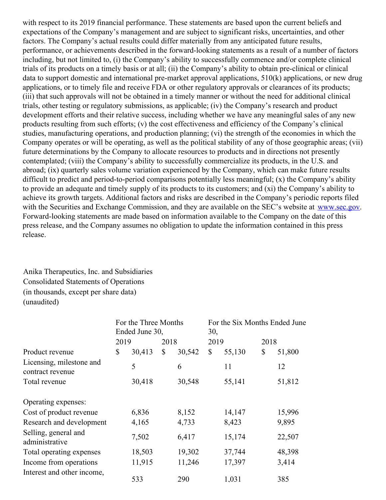with respect to its 2019 financial performance. These statements are based upon the current beliefs and expectations of the Company's management and are subject to significant risks, uncertainties, and other factors. The Company's actual results could differ materially from any anticipated future results, performance, or achievements described in the forward-looking statements as a result of a number of factors including, but not limited to, (i) the Company's ability to successfully commence and/or complete clinical trials of its products on a timely basis or at all; (ii) the Company's ability to obtain pre-clinical or clinical data to support domestic and international pre-market approval applications, 510(k) applications, or new drug applications, or to timely file and receive FDA or other regulatory approvals or clearances of its products; (iii) that such approvals will not be obtained in a timely manner or without the need for additional clinical trials, other testing or regulatory submissions, as applicable; (iv) the Company's research and product development efforts and their relative success, including whether we have any meaningful sales of any new products resulting from such efforts; (v) the cost effectiveness and efficiency of the Company's clinical studies, manufacturing operations, and production planning; (vi) the strength of the economies in which the Company operates or will be operating, as well as the political stability of any of those geographic areas; (vii) future determinations by the Company to allocate resources to products and in directions not presently contemplated; (viii) the Company's ability to successfully commercialize its products, in the U.S. and abroad; (ix) quarterly sales volume variation experienced by the Company, which can make future results difficult to predict and period-to-period comparisons potentially less meaningful; (x) the Company's ability to provide an adequate and timely supply of its products to its customers; and (xi) the Company's ability to achieve its growth targets. Additional factors and risks are described in the Company's periodic reports filed with the Securities and Exchange Commission, and they are available on the SEC's website at [www.sec.gov](https://cts.businesswire.com/ct/CT?id=smartlink&url=http%3A%2F%2Fwww.sec.gov&esheet=52017982&newsitemid=20190724005750&lan=en-US&anchor=www.sec.gov&index=12&md5=7b3106090260a84593c0255727e15081). Forward-looking statements are made based on information available to the Company on the date of this press release, and the Company assumes no obligation to update the information contained in this press release.

# Anika Therapeutics, Inc. and Subsidiaries Consolidated Statements of Operations (in thousands, except per share data) (unaudited)

|                                              | For the Three Months<br>Ended June 30, |        |      |        | For the Six Months Ended June<br>30, |        |      |        |
|----------------------------------------------|----------------------------------------|--------|------|--------|--------------------------------------|--------|------|--------|
|                                              | 2019                                   |        | 2018 |        | 2019                                 |        | 2018 |        |
| Product revenue                              | \$                                     | 30,413 | \$   | 30,542 | \$                                   | 55,130 | \$   | 51,800 |
| Licensing, milestone and<br>contract revenue |                                        | 5      |      | 6      |                                      | 11     |      | 12     |
| Total revenue                                |                                        | 30,418 |      | 30,548 |                                      | 55,141 |      | 51,812 |
| Operating expenses:                          |                                        |        |      |        |                                      |        |      |        |
| Cost of product revenue                      |                                        | 6,836  |      | 8,152  |                                      | 14,147 |      | 15,996 |
| Research and development                     |                                        | 4,165  |      | 4,733  |                                      | 8,423  |      | 9,895  |
| Selling, general and<br>administrative       |                                        | 7,502  |      | 6,417  |                                      | 15,174 |      | 22,507 |
| Total operating expenses                     |                                        | 18,503 |      | 19,302 |                                      | 37,744 |      | 48,398 |
| Income from operations                       |                                        | 11,915 |      | 11,246 |                                      | 17,397 |      | 3,414  |
| Interest and other income,                   |                                        | 533    |      | 290    |                                      | 1,031  |      | 385    |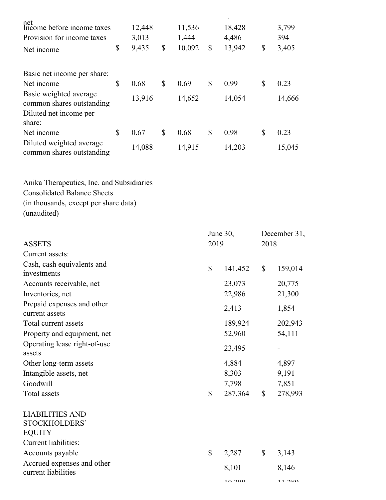| net<br>Income before income taxes<br>Provision for income taxes | 12,448<br>3,013 | 11,536<br>1,444 | 18,428<br>4,486 |              | 3,799<br>394 |
|-----------------------------------------------------------------|-----------------|-----------------|-----------------|--------------|--------------|
| Net income                                                      | \$<br>9,435     | \$<br>10,092    | \$<br>13,942    | $\mathbb{S}$ | 3,405        |
|                                                                 |                 |                 |                 |              |              |
| Basic net income per share:                                     |                 |                 |                 |              |              |
| Net income                                                      | \$<br>0.68      | \$<br>0.69      | \$<br>0.99      | S            | 0.23         |
| Basic weighted average<br>common shares outstanding             | 13,916          | 14,652          | 14,054          |              | 14,666       |
| Diluted net income per                                          |                 |                 |                 |              |              |
| share:                                                          |                 |                 |                 |              |              |
| Net income                                                      | \$<br>0.67      | \$<br>0.68      | \$<br>0.98      | S            | 0.23         |
| Diluted weighted average<br>common shares outstanding           | 14,088          | 14,915          | 14,203          |              | 15,045       |

Anika Therapeutics, Inc. and Subsidiaries Consolidated Balance Sheets (in thousands, except per share data) (unaudited)

|                                                          |      | June 30, |                           |         |
|----------------------------------------------------------|------|----------|---------------------------|---------|
| <b>ASSETS</b>                                            | 2019 |          | 2018                      |         |
| Current assets:                                          |      |          |                           |         |
| Cash, cash equivalents and<br>investments                | \$   | 141,452  | $\boldsymbol{\mathsf{S}}$ | 159,014 |
| Accounts receivable, net                                 |      | 23,073   |                           | 20,775  |
| Inventories, net                                         |      | 22,986   |                           | 21,300  |
| Prepaid expenses and other<br>current assets             |      | 2,413    |                           | 1,854   |
| Total current assets                                     |      | 189,924  |                           | 202,943 |
| Property and equipment, net                              |      | 52,960   |                           | 54,111  |
| Operating lease right-of-use<br>assets                   |      | 23,495   |                           |         |
| Other long-term assets                                   |      | 4,884    |                           | 4,897   |
| Intangible assets, net                                   |      | 8,303    |                           | 9,191   |
| Goodwill                                                 |      | 7,798    |                           | 7,851   |
| <b>Total assets</b>                                      | \$   | 287,364  | $\mathbb{S}$              | 278,993 |
| <b>LIABILITIES AND</b><br>STOCKHOLDERS'<br><b>EQUITY</b> |      |          |                           |         |
| Current liabilities:                                     |      |          |                           |         |
| Accounts payable                                         | \$   | 2,287    | \$                        | 3,143   |
| Accrued expenses and other<br>current liabilities        |      | 8,101    |                           | 8,146   |
|                                                          |      | 10.200   |                           | 11,000  |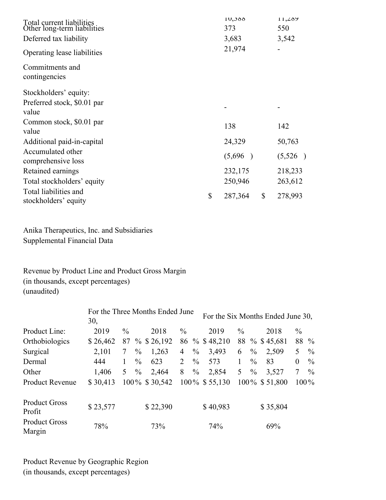| Total current liabilities<br>Other long-term liabilities<br>Deferred tax liability |               | 10,300<br>373<br>3,683 |              | 11,209<br>550<br>3,542 |
|------------------------------------------------------------------------------------|---------------|------------------------|--------------|------------------------|
| Operating lease liabilities                                                        |               | 21,974                 |              |                        |
| Commitments and<br>contingencies                                                   |               |                        |              |                        |
| Stockholders' equity:                                                              |               |                        |              |                        |
| Preferred stock, \$0.01 par<br>value                                               |               |                        |              |                        |
| Common stock, \$0.01 par<br>value                                                  |               | 138                    |              | 142                    |
| Additional paid-in-capital                                                         |               | 24,329                 |              | 50,763                 |
| Accumulated other<br>comprehensive loss                                            |               | (5,696)                |              | (5,526)                |
| Retained earnings<br>Total stockholders' equity                                    |               | 232,175<br>250,946     |              | 218,233<br>263,612     |
| Total liabilities and<br>stockholders' equity                                      | $\mathcal{S}$ | 287,364                | $\mathbb{S}$ | 278,993                |

Anika Therapeutics, Inc. and Subsidiaries Supplemental Financial Data

Revenue by Product Line and Product Gross Margin (in thousands, except percentages) (unaudited)

|                                | 30,      | For the Three Months Ended June          | For the Six Months Ended June 30, |               |                                 |          |                |               |
|--------------------------------|----------|------------------------------------------|-----------------------------------|---------------|---------------------------------|----------|----------------|---------------|
| Product Line:                  | 2019     | $\frac{0}{0}$<br>2018                    | $\frac{0}{0}$                     | 2019          | $\frac{0}{0}$                   | 2018     | $\frac{0}{0}$  |               |
| Orthobiologics                 | \$26,462 | 87 % \$ 26,192                           |                                   | 86 % \$48,210 | 88 % \$45,681                   |          | 88             | $\frac{0}{0}$ |
| Surgical                       | 2,101    | $\frac{0}{0}$<br>1,263<br>7              | $\%$<br>4                         | 3,493         | $\frac{0}{0}$<br>6              | 2,509    | 5              | $\%$          |
| Dermal                         | 444      | $\frac{0}{0}$<br>623                     | 2<br>$\%$                         | 573           | $\frac{0}{0}$<br>1              | 83       | $\overline{0}$ | $\%$          |
| Other                          | 1,406    | 5 <sup>1</sup><br>$\frac{0}{0}$<br>2,464 | 8<br>$\frac{0}{0}$                | 2,854         | 5 <sup>1</sup><br>$\frac{0}{0}$ | 3,527    | $\overline{7}$ | $\%$          |
| <b>Product Revenue</b>         | \$30,413 | 100% \$30,542                            |                                   | 100% \$55,130 | 100% \$51,800                   |          | $100\%$        |               |
| <b>Product Gross</b><br>Profit | \$23,577 | \$22,390                                 |                                   | \$40,983      |                                 | \$35,804 |                |               |
| <b>Product Gross</b><br>Margin | 78%      | 73%                                      |                                   | 74%           |                                 | 69%      |                |               |

Product Revenue by Geographic Region (in thousands, except percentages)